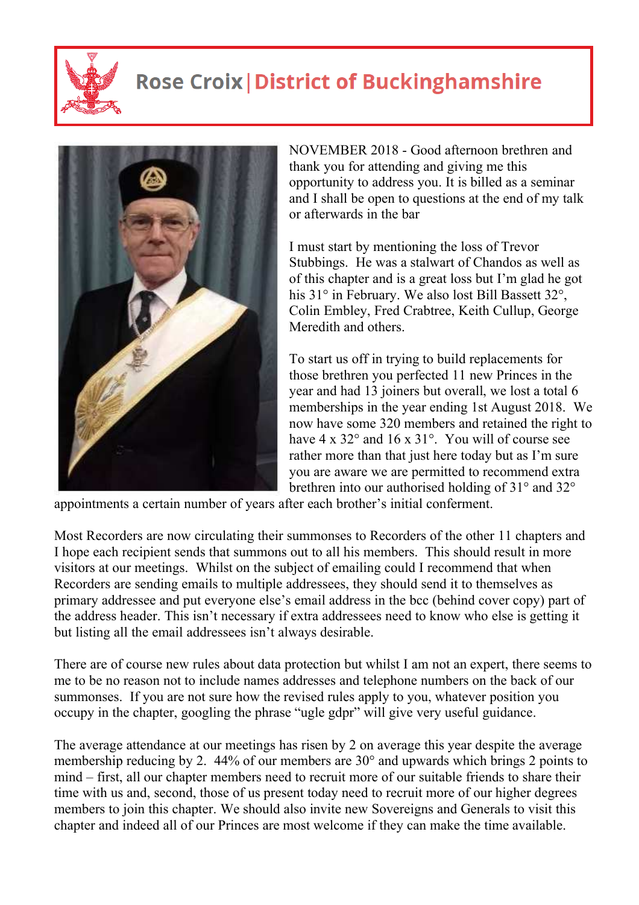

## **Rose Croix | District of Buckinghamshire**



NOVEMBER 2018 - Good afternoon brethren and thank you for attending and giving me this opportunity to address you. It is billed as a seminar and I shall be open to questions at the end of my talk or afterwards in the bar

I must start by mentioning the loss of Trevor Stubbings. He was a stalwart of Chandos as well as of this chapter and is a great loss but I'm glad he got his 31° in February. We also lost Bill Bassett 32°, Colin Embley, Fred Crabtree, Keith Cullup, George Meredith and others.

To start us off in trying to build replacements for those brethren you perfected 11 new Princes in the year and had 13 joiners but overall, we lost a total 6 memberships in the year ending 1st August 2018. We now have some 320 members and retained the right to have 4 x 32° and 16 x 31°. You will of course see rather more than that just here today but as I'm sure you are aware we are permitted to recommend extra brethren into our authorised holding of 31° and 32°

appointments a certain number of years after each brother's initial conferment.

Most Recorders are now circulating their summonses to Recorders of the other 11 chapters and I hope each recipient sends that summons out to all his members. This should result in more visitors at our meetings. Whilst on the subject of emailing could I recommend that when Recorders are sending emails to multiple addressees, they should send it to themselves as primary addressee and put everyone else's email address in the bcc (behind cover copy) part of the address header. This isn't necessary if extra addressees need to know who else is getting it but listing all the email addressees isn't always desirable.

There are of course new rules about data protection but whilst I am not an expert, there seems to me to be no reason not to include names addresses and telephone numbers on the back of our summonses. If you are not sure how the revised rules apply to you, whatever position you occupy in the chapter, googling the phrase "ugle gdpr" will give very useful guidance.

The average attendance at our meetings has risen by 2 on average this year despite the average membership reducing by 2. 44% of our members are 30° and upwards which brings 2 points to mind – first, all our chapter members need to recruit more of our suitable friends to share their time with us and, second, those of us present today need to recruit more of our higher degrees members to join this chapter. We should also invite new Sovereigns and Generals to visit this chapter and indeed all of our Princes are most welcome if they can make the time available.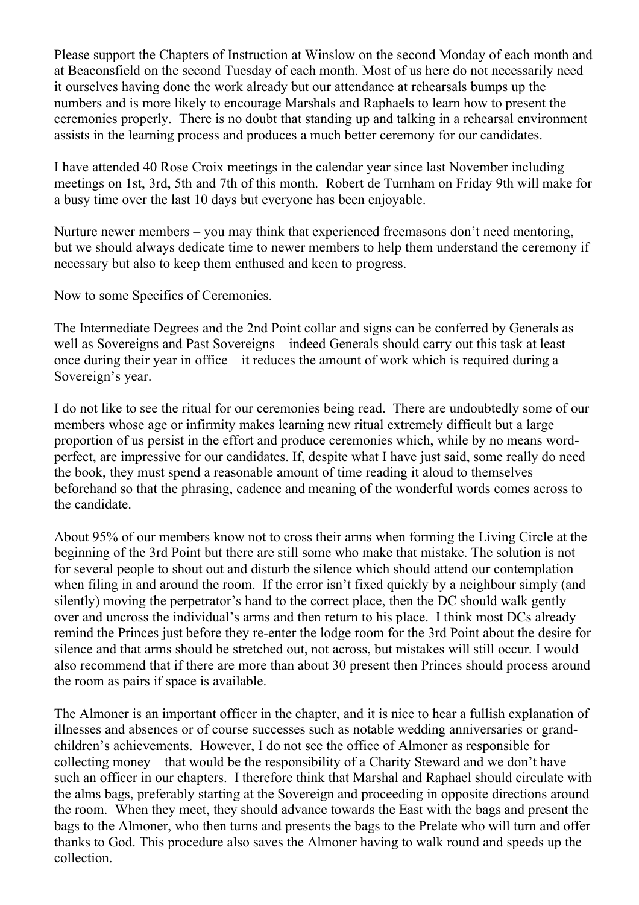Please support the Chapters of Instruction at Winslow on the second Monday of each month and at Beaconsfield on the second Tuesday of each month. Most of us here do not necessarily need it ourselves having done the work already but our attendance at rehearsals bumps up the numbers and is more likely to encourage Marshals and Raphaels to learn how to present the ceremonies properly. There is no doubt that standing up and talking in a rehearsal environment assists in the learning process and produces a much better ceremony for our candidates.

I have attended 40 Rose Croix meetings in the calendar year since last November including meetings on 1st, 3rd, 5th and 7th of this month. Robert de Turnham on Friday 9th will make for a busy time over the last 10 days but everyone has been enjoyable.

Nurture newer members – you may think that experienced freemasons don't need mentoring, but we should always dedicate time to newer members to help them understand the ceremony if necessary but also to keep them enthused and keen to progress.

Now to some Specifics of Ceremonies.

The Intermediate Degrees and the 2nd Point collar and signs can be conferred by Generals as well as Sovereigns and Past Sovereigns – indeed Generals should carry out this task at least once during their year in office – it reduces the amount of work which is required during a Sovereign's year.

I do not like to see the ritual for our ceremonies being read. There are undoubtedly some of our members whose age or infirmity makes learning new ritual extremely difficult but a large proportion of us persist in the effort and produce ceremonies which, while by no means wordperfect, are impressive for our candidates. If, despite what I have just said, some really do need the book, they must spend a reasonable amount of time reading it aloud to themselves beforehand so that the phrasing, cadence and meaning of the wonderful words comes across to the candidate.

About 95% of our members know not to cross their arms when forming the Living Circle at the beginning of the 3rd Point but there are still some who make that mistake. The solution is not for several people to shout out and disturb the silence which should attend our contemplation when filing in and around the room. If the error isn't fixed quickly by a neighbour simply (and silently) moving the perpetrator's hand to the correct place, then the DC should walk gently over and uncross the individual's arms and then return to his place. I think most DCs already remind the Princes just before they re-enter the lodge room for the 3rd Point about the desire for silence and that arms should be stretched out, not across, but mistakes will still occur. I would also recommend that if there are more than about 30 present then Princes should process around the room as pairs if space is available.

The Almoner is an important officer in the chapter, and it is nice to hear a fullish explanation of illnesses and absences or of course successes such as notable wedding anniversaries or grandchildren's achievements. However, I do not see the office of Almoner as responsible for collecting money – that would be the responsibility of a Charity Steward and we don't have such an officer in our chapters. I therefore think that Marshal and Raphael should circulate with the alms bags, preferably starting at the Sovereign and proceeding in opposite directions around the room. When they meet, they should advance towards the East with the bags and present the bags to the Almoner, who then turns and presents the bags to the Prelate who will turn and offer thanks to God. This procedure also saves the Almoner having to walk round and speeds up the collection.